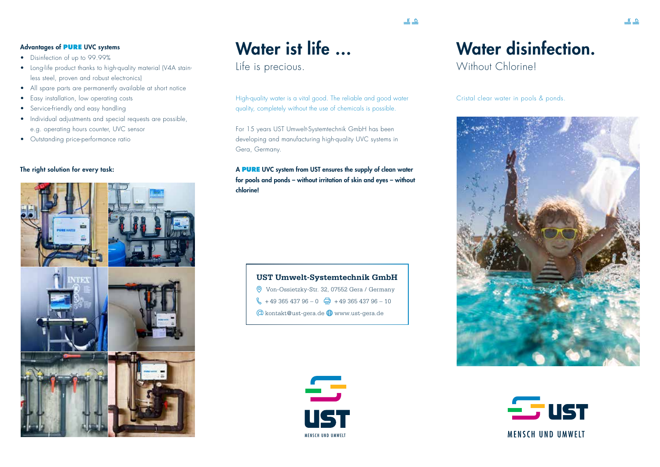#### Advantages of **PURE** UVC systems

- Disinfection of up to 99.99%
- Long-life product thanks to high-quality material (V4A stainless steel, proven and robust electronics)
- All spare parts are permanently available at short notice
- Easy installation, low operating costs
- Service-friendly and easy handling
- Individual adjustments and special requests are possible, e.g. operating hours counter, UVC sensor
- Outstanding price-performance ratio

#### The right solution for every task:



# Water ist life …

Life is precious.

High-quality water is a vital good. The reliable and good water quality, completely without the use of chemicals is possible.

For 15 years UST Umwelt-Systemtechnik GmbH has been developing and manufacturing high-quality UVC systems in Gera, Germany.

#### A **PURE** UVC system from UST ensures the supply of clean water for pools and ponds – without irritation of skin and eyes – without chlorine!

| <b>UST Umwelt-Systemtechnik GmbH</b>                                 |
|----------------------------------------------------------------------|
| Von-Ossietzky-Str. 32, 07552 Gera / Germany                          |
| $\frac{1}{2}$ + 49 365 437 96 - 0 $\frac{1}{2}$ + 49 365 437 96 - 10 |
| $\circ$ kontakt@ust-gera.de $\circledR$ www.ust-gera.de              |



## Water disinfection.

Without Chlorinel

 $\underline{\mathbf{1}}$ 

Cristal clear water in pools & ponds.